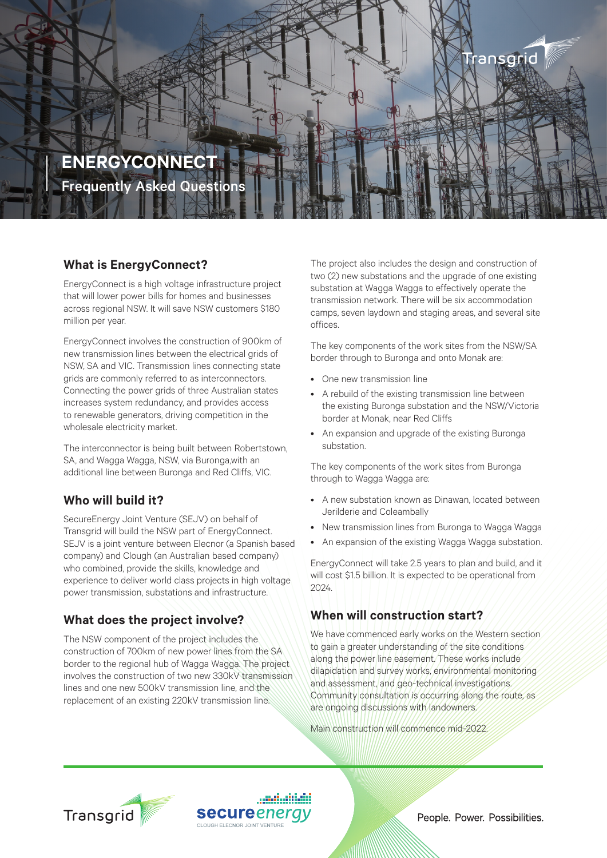

### **What is EnergyConnect?**

EnergyConnect is a high voltage infrastructure project that will lower power bills for homes and businesses across regional NSW. It will save NSW customers \$180 million per year.

EnergyConnect involves the construction of 900km of new transmission lines between the electrical grids of NSW, SA and VIC. Transmission lines connecting state grids are commonly referred to as interconnectors. Connecting the power grids of three Australian states increases system redundancy, and provides access to renewable generators, driving competition in the wholesale electricity market.

The interconnector is being built between Robertstown, SA, and Wagga Wagga, NSW, via Buronga,with an additional line between Buronga and Red Cliffs, VIC.

### **Who will build it?**

SecureEnergy Joint Venture (SEJV) on behalf of Transgrid will build the NSW part of EnergyConnect. SEJV is a joint venture between Elecnor (a Spanish based company) and Clough (an Australian based company) who combined, provide the skills, knowledge and experience to deliver world class projects in high voltage power transmission, substations and infrastructure.

## **What does the project involve?**

The NSW component of the project includes the construction of 700km of new power lines from the SA border to the regional hub of Wagga Wagga. The project involves the construction of two new 330kV transmission lines and one new 500kV transmission line, and the replacement of an existing 220kV transmission line.

The project also includes the design and construction of two (2) new substations and the upgrade of one existing substation at Wagga Wagga to effectively operate the transmission network. There will be six accommodation camps, seven laydown and staging areas, and several site offices.

The key components of the work sites from the NSW/SA border through to Buronga and onto Monak are:

- One new transmission line
- A rebuild of the existing transmission line between the existing Buronga substation and the NSW/Victoria border at Monak, near Red Cliffs
- An expansion and upgrade of the existing Buronga substation.

The key components of the work sites from Buronga through to Wagga Wagga are:

- A new substation known as Dinawan, located between Jerilderie and Coleambally
- New transmission lines from Buronga to Wagga Wagga
- An expansion of the existing Wagga Wagga substation.

EnergyConnect will take 2.5 years to plan and build, and it will cost \$1.5 billion. It is expected to be operational from 2024.

### **When will construction start?**

We have commenced early works on the Western section to gain a greater understanding of the site conditions along the power line easement. These works include dilapidation and survey works, environmental monitoring and assessment, and geo-technical investigations. Community consultation is occurring along the route, as are ongoing discussions with landowners.

Main construction will commence mid-2022.





People. Power. Possibilities.